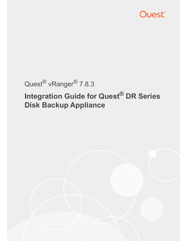

# Quest® vRanger® 7.8.3

# **Integration Guide for Quest® DR Series Disk Backup Appliance**

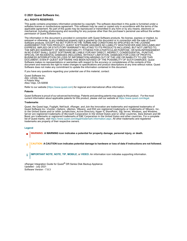#### **© 2021 Quest Software Inc.**

#### **ALL RIGHTS RESERVED.**

This guide contains proprietary information protected by copyright. The software described in this guide is furnished under a software license or nondisclosure agreement. This software may be used or copied only in accordance with the terms of the applicable agreement. No part of this guide may be reproduced or transmitted in any form or by any means, electronic or mechanical, including photocopying and recording for any purpose other than the purchaser's personal use without the written permission of Quest Software Inc.

The information in this document is provided in connection with Quest Software products. No license, express or implied, by estoppel or otherwise, to any intellectual property right is granted by this document or in connection with the sale of Quest Software products. EXCEPT AS SET FORTH IN THE TERMS AND CONDITIONS AS SPECIFIED IN THE LICENSE AGREEMENT FOR THIS PRODUCT, QUEST SOFTWARE ASSUMES NO LIABILITY WHATSOEVER AND DISCLAIMS ANY EXPRESS, IMPLIED OR STATUTORY WARRANTY RELATING TO ITS PRODUCTS INCLUDING, BUT NOT LIMITED TO, THE IMPLIED WARRANTY OF MERCHANTABILITY, FITNESS FOR A PARTICULAR PURPOSE, OR NON-INFRINGEMENT. IN NO EVENT SHALL QUEST SOFTWARE BE LIABLE FOR ANY DIRECT, INDIRECT, CONSEQUENTIAL, PUNITIVE, SPECIAL OR INCIDENTAL DAMAGES (INCLUDING, WITHOUT LIMITATION, DAMAGES FOR LOSS OF PROFITS, BUSINESS INTERRUPTION OR LOSS OF INFORMATION) ARISING OUT OF THE USE OR INABILITY TO USE THIS DOCUMENT, EVEN IF QUEST SOFTWARE HAS BEEN ADVISED OF THE POSSIBILITY OF SUCH DAMAGES. Quest Software makes no representations or warranties with respect to the accuracy or completeness of the contents of this document and reserves the right to make changes to specifications and product descriptions at any time without notice. Quest Software does not make any commitment to update the information contained in this document.

If you have any questions regarding your potential use of this material, contact:

Quest Software Inc. Attn: LEGAL Dept. 4 Polaris Way Aliso Viejo, CA 92656

Refer to our website (https://www.quest.com) for regional and international office information.

#### **Patents**

Quest Software is proud of our advanced technology. Patents and pending patents may apply to this product. For the most<br>current information about applicable patents for this product, please visit our website at https://w

#### **Trademarks**

Quest, the Quest logo, Foglight, NetVault, vRanger, and Join the Innovation are trademarks and registered trademarks of Quest Software Inc. vCenter, vSphere, vMotion, VMware, and ESXi are registered trademarks or trademarks of VMware, Inc. in the United States and/or [other jurisdictions. Active Directory, Hyper-V,](https://www.quest.com/legal/trademark-information.aspx) SharePoint, SQL Server, Windows, and Windows Server are registered trademarks of Microsoft Corporation in the United States and/or other countries. Data Domain and DD Boost are trademarks or registered trademarks of EMC Corporation in the United States and other countries. For a complete list of Quest marks, visit https://www.quest.com/legal/trademark-information.aspx. All other trademarks and registered trademarks are property of their respective owners.

#### **Legend**

**WARNING: A WARNING icon indicates a potential for property damage, personal injury, or death.**

**CAUTION: A CAUTION icon indicates potential damage to hardware or loss of data if instructions are not followed.** ţ

**IMPORTANT NOTE**, **NOTE**, **TIP**, **MOBILE**, or **VIDEO:** An information icon indicates supporting information.÷

vRanger Integration Guide for Quest® DR Series Disk Backup Appliance Updated - July 2021 Software Version - 7.8.3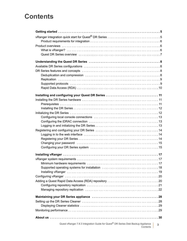## **Contents**

| Installing and configuring your Quest DR Series  11                                                      |   |  |
|----------------------------------------------------------------------------------------------------------|---|--|
|                                                                                                          |   |  |
|                                                                                                          |   |  |
|                                                                                                          |   |  |
|                                                                                                          |   |  |
|                                                                                                          |   |  |
|                                                                                                          |   |  |
|                                                                                                          |   |  |
|                                                                                                          |   |  |
|                                                                                                          |   |  |
|                                                                                                          |   |  |
|                                                                                                          |   |  |
|                                                                                                          |   |  |
|                                                                                                          |   |  |
|                                                                                                          |   |  |
|                                                                                                          |   |  |
|                                                                                                          |   |  |
|                                                                                                          |   |  |
|                                                                                                          |   |  |
|                                                                                                          |   |  |
|                                                                                                          |   |  |
|                                                                                                          |   |  |
|                                                                                                          |   |  |
|                                                                                                          |   |  |
|                                                                                                          |   |  |
|                                                                                                          |   |  |
|                                                                                                          |   |  |
|                                                                                                          |   |  |
|                                                                                                          |   |  |
| Quest vRanger 7.8.3 Integration Guide for Quest <sup>®</sup> DR Series Disk Backup Appliance<br>Contents | 3 |  |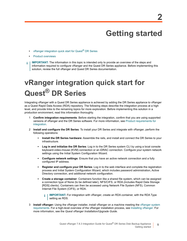# **Getting started**

- **•** [vRanger integration](#page-5-1) quick start for Quest® DR Series
- **•** Product overviews
- **IMPORTANT:** The information in this topic is intended only to provide an overview of the steps and f. information required to configure vRanger and the Quest DR Series appliance. Before implementing this solution, review the full vRanger and Quest DR Series documentation.

# <span id="page-4-0"></span>**vRanger integration quick start for Quest® DR Series**

Integrating vRanger with a Quest DR Series appliance is achieved by adding the DR Series appliance to vRanger as a Quest Rapid Data Access (RDA) repository. The following steps describe the integration process at a high level, and provide links to the remaining topics for more exploration. Before implementing this solution in a production environment, read this information thoroughly.

- 1 **[Confirm in](#page-5-0)tegration requirements**: Before starting the integration, confirm that you are using supported versions of vRanger and the DR Series software. For more information, see Product requirements for integration.
- 2 **Install and configure the DR Series**: To install your DR Series and integrate with vRanger, perform the following operations:
	- **Install the DR Series hardware**: Assemble the rails, and install and connect the DR Series to your infrastructure.
	- **▪ Log in and initialize the DR Series**: Log in to the DR Series system CLI by using a local console keyboard-video-mouse (KVM) connection or an iDRAC connection. Configure your system network settings using the Initial System Configuration Wizard.
	- **▪ Configure network settings**: Ensure that you have an active network connection and a fully configured IP address.
	- **▪ Register and configure your DR Series**: Log in to the web interface and complete the registration process and Initial System Configuration Wizard, which includes password administration, Active Directory connection, and additional network configuration.
	- **Create a storage container**: Containers function like a shared file system, which can be assigned a connection type of None (to be defined later), NFS/CIFS, or RDA (includes Rapid Data Storage [RDS] clients). Containers can then be accessed using Network File System (NFS), Common Internet File System (CIFS), or RDA.
		- **i** | IMPORTANT: For integration with vRanger, create an RDA container, with the RDA Type [s](#page-16-2)etting as RDS.
- 3 **Install vRanger:** Using the vRanger installer, install vRanger on a machine meeting the vRanger system requirements. For a high-level overview of the vRanger installation process, see Installing vRanger. For more information, see the *Quest vRanger Installation/Upgrade Guide*.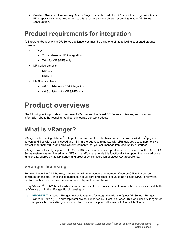**Create a Quest RDA repository**: After vRanger is installed, add the DR Series to vRanger as a Quest RDA repository. Any backup written to this repository is deduplicated according to your DR Series configuration.

## <span id="page-5-3"></span><span id="page-5-0"></span>**Product requirements for integration**

To integrate vRanger with a DR Series appliance, you must be using one of the following supported product versions:

- **•** vRanger:
	- **▪** 7.1 or later for RDA integration
	- **▪** 7.0 for CIFS/NFS only
- **•** DR Series systems:
	- **▪** DR4x00
	- **▪** DR6x00
- **•** DR Series software:
	- **▪** 4.0.3 or later for RDA integration
	- **▪** 4.0.3 or later for CIFS/NFS only

# <span id="page-5-1"></span>**Product overviews**

The following topics provide an overview of vRanger and the Quest DR Series appliances, and important information about the licensing required to integrate the two products.

## <span id="page-5-2"></span>**What is vRanger?**

vRanger is the leading VMware® data protection solution that also backs up and recovers Windows® physical servers and files with blazing speed and minimal storage requirements. With vRanger, you get comprehensive protection for both virtual and physical environments that you can manage from one intuitive interface.

vRanger has historically supported the Quest DR Series systems as repositories, but required that the Quest DR Series system was configured as an NFS share. vRanger extends this functionality to support the more advanced functionality offered by the DR Series, and allow direct configuration of Quest RDA repositories.

### **vRanger licensing**

For virtual machine (VM) backup, a license for vRanger controls the number of source CPUs that you can configure for backup. For licensing purposes, a multi-core processor is counted as a single CPU. For physical backup, each server protected consumes one physical backup license.

Every VMware® ESXi™ host for which vRanger is expected to provide protection must be properly licensed, both by VMware and in the vRanger Host Licensing tab.

**IMPORTANT:** A Quest vRanger license is required for integration with the Quest DR Series. vRanger Standard Edition (SE) and vReplicator are not supported by Quest DR Series. This topic uses "vRanger" for simplicity, but only vRanger Backup & Replication is supported for use with Quest DR Series.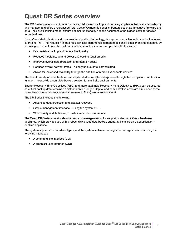## <span id="page-6-0"></span>**Quest DR Series overview**

The DR Series system is a high-performance, disk-based backup and recovery appliance that is simple to deploy and manage, and offers unsurpassed Total Cost of Ownership benefits. Features such as innovative firmware and an all-inclusive licensing model ensure optimal functionality and the assurance of no hidden costs for desired future features.

Using Quest deduplication and compression algorithm technology, this system can achieve data reduction levels averaging 15:1. This reduction in data results in less incremental storage needs and a smaller backup footprint. By removing redundant data, the system provides deduplication and compression that delivers:

- **•** Fast, reliable backup and restore functionality.
- **•** Reduces media usage and power and cooling requirements.
- **•** Improves overall data protection and retention costs.
- **•** Reduces overall network traffic as only unique data is transmitted.
- **•** Allows for increased scalability through the addition of more RDA capable devices.

The benefits of data deduplication can be extended across the enterprise — through the deduplicated replication function — to provide a complete backup solution for multi-site environments.

Shorter Recovery Time Objectives (RTO) and more attainable Recovery Point Objectives (RPO) can be assured as critical backup data remains on disk and online longer. Capital and administrative costs are diminished at the same time as internal service-level agreements (SLAs) are more easily met.

The DR Series includes the following:

- **•** Advanced data protection and disaster recovery.
- **•** Simple management interface using the system GUI.
- **•** Wide variety of data backup installations and environments.

The Quest DR Series contains data backup and management software preinstalled on a Quest hardware appliance, which provides you with a robust disk-based data backup capability installed on a deduplicationenabled appliance.

The system supports two interface types, and the system software manages the storage containers using the following interfaces:

- **•** A command line interface (CLI)
- **•** A graphical user interface (GUI)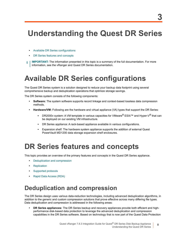# <span id="page-7-0"></span>**Understanding the Quest DR Series**

- **•** [Available DR Series configuration](#page-7-2)s
- **DR Series features and concepts**
- <span id="page-7-1"></span>**IMPORTANT:** The information presented in this topic is a summary of the full documentation. For more f information, see the vRanger and Quest DR Series documentation.

# **Available DR Series configurations**

The Quest DR Series system is a solution designed to reduce your backup data footprint using several comprehensive backup and deduplication operations that optimize storage savings.

The DR Series system consists of the following components:

- **Software:** The system software supports record linkage and context-based lossless data compression methods.
- **Hardware/VM:** Following are the hardware and virtual appliance (VA) types that support the DR Series:
	- **▪** DR2000v system: A VM template in various capacities for VMware® ESXi™ and Hyper-V® that can be deployed on our existing VM infrastructure.
	- **DR Series appliance: A rack-based appliance available in various configurations.**
	- **▪** Expansion shelf: The hardware system appliance supports the addition of external Quest PowerVault MD1200 data storage expansion shelf enclosures.

# <span id="page-7-2"></span>**DR Series features and concepts**

This to[pic provides an overview of the p](#page-7-3)rimary features and concepts in the Quest DR Series appliance.

- **•** [Deduplicati](#page-8-0)[on and co](#page-8-1)mpression
- **•** Replication
- **•** [Supported protocols](#page-9-0)
- <span id="page-7-3"></span>**•** Rapid Data Access (RDA)

## **Deduplication and compression**

The DR Series design uses various data-reduction technologies, including advanced deduplication algorithms, in addition to the generic and custom compression solutions that prove effective across many differing file types. Data deduplication and compression is addressed in the following areas:

**• DR Series appliances:** The DR Series backup and recovery appliances provide both efficient and highperformance disk-based data protection to leverage the advanced deduplication and compression capabilities in the DR Series software. Based on technology that is now part of the Quest Data Protection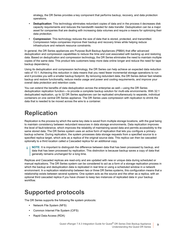strategy, the DR Series provides a key component that performs backup, recovery, and data protection operations.

- **Deduplication**: This technology eliminates redundant copies of data and in the process it decreases disk capacity requirements and reduces the bandwidth needed for data transfer. Deduplication can be a major asset for companies that are dealing with increasing data volumes and require a means for optimizing their data protection.
- **Compression**: This technology reduces the size of data that is stored, protected, and transmitted. Compression helps companies improve their backup and recovery times while helping reduce infrastructure and network resource constraints.

In general, the DR Series appliances are Purpose Built Backup Appliances (PBBA) that offer advanced deduplication and compression capabilities to reduce the time and cost associated with backing up and restoring data. Based on deduplication and compression technology, the DR Series eliminates the need to maintain multiple copies of the same data. This product lets customers keep more data online longer and reduce the need for tape backup dependency.

Using its deduplication and compression technology, the DR Series can help achieve an expected data reduction ratio of 15:1. Achieving this reduction in data means that you need fewer incremental storage operations to run and it provides you with a smaller backup footprint. By removing redundant data, the DR Series deliver fast reliable backup and restore functionality, reduce media usage and power and cooling requirements, and improve your overall data protection and retention costs.

You can extend the benefits of data deduplication across the enterprise as well — using the DR Series deduplication replication function — to provide a complete backup solution for multi-site environments. With 32:1 deduplicated replication, up to 32 DR Series appliances can be replicated simultaneously to separate, individual containers on one central DR Series appliance. The DR Series uses compression with replication to shrink the data that is needed to be moved across the wire to a container.

## <span id="page-8-0"></span>**Replication**

Replication is the process by which the same key data is saved from multiple storage locations, with the goal being to maintain consistency between redundant resources in data storage environments. Data replication improves the level of fault-tolerance, which improves the reliability of maintaining saved data and permits accessibility to the same stored data. The DR Series system uses an active form of replication that lets you configure a primarybackup scheme. During replication, the system processes data storage requests from a specified source to a specified replica target, which acts as a replica of the original source data. This replica can then be cascaded optionally to a third location called a Cascaded replica for an additional copy.

**NOTE:** It is important to distinguish the difference between data that has been processed by backup, and data that has been processed by replication. This distinction is because backup saves a copy of data that generally remains unchanged for a long time.

Replicas and Cascaded replicas are read-only and are updated with new or unique data during scheduled or manual replications. The DR Series system can be considered to act as a form of a storage replication process in which the backup and deduplication data is replicated in real time or using a scheduled window in a network environment. In a replication relationship between two or three DR Series systems, this configuration means that a relationship exists between several systems. One system acts as the source and the other as a replica, with an optional third cascaded replica if you have chosen to keep two instances of replicated data in your backup workflow.

## <span id="page-8-1"></span>**Supported protocols**

The DR Series supports the following file system protocols:

- **•** Network File System (NFS)
- **•** Common Internet File System (CIFS)
- **•** Rapid Data Access (RDA)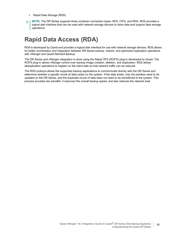- **•** Rapid Data Storage (RDS)
- **NOTE:** The DR Series supports three container connection types: NFS, CIFS, and RDA. RDS provides a ÷ logical disk interface that can be used with network storage devices to store data and support data storage operations.

## <span id="page-9-0"></span>**Rapid Data Access (RDA)**

RDA is developed by Quest and provides a logical disk interface for use with network storage devices. RDS allows for better coordination and integration between DR Series backup, restore, and optimized duplication operations with vRanger and Quest NetVault Backup.

The DR Series and vRanger integration is done using the Rapid OFS (ROFS) plug-in developed by Quest. The ROFS plug-in allows vRanger control over backup image creation, deletion, and duplication. RDS allows deduplication operations to happen on the client-side so that network traffic can be reduced.

The RDS protocol allows the supported backup applications to communicate directly with the DR Series and determine whether a specific chunk of data exists on the system. If the data exists, only the pointers need to be updated on the DR Series, and the duplicate chunk of data does not need to be transferred to the system. This process provides two benefits: it improves the overall backup speed, and also reduces the network load.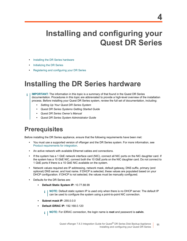# <span id="page-10-0"></span>**Installing and configuring your Quest DR Series**

- **•** [Installing the DR Series h](#page-11-1)ardware
- **•** [Initializing the DR Series](#page-13-0)
- <span id="page-10-1"></span>**•** Registering and configuring your DR Series

## **Installing the DR Series hardware**

- **IMPORTANT:** The information in this topic is a summary of that found in the Quest DR Series ÷ documentation. Procedures in this topic are abbreviated to provide a high-level overview of the installation process. Before installing your Quest DR Series system, review the full set of documentation, including:
	- *• Setting Up Your Quest DR Series System*
	- *• Quest DR Series Systems Getting Started Guide*
	- *• Quest DR Series Owner's Manual*
	- *• Quest DR Series System Administrator Guide*

## <span id="page-10-2"></span>**Prerequisites**

[Before installing the DR Series appliance, e](#page-5-3)nsure that the following requirements have been met:

- **•** You must use a supported version of vRanger and the DR Series system. For more information, see Product requirements for integration.
- **•** An active network with available Ethernet cables and connections.
- **•** If the system has a 1 GbE network interface card (NIC), connect all NIC ports on the NIC daughter card. If the system has a 10 GbE NIC, connect both the 10 GbE ports on the NIC daughter card. Do not connect to 1 GbE ports if there is a 10 GbE NIC available on the system.
- **•** Network values required are IP addressing, network mask, default gateway, DNS suffix, primary (and optional) DNS server, and host name. If DHCP is selected, these values are populated based on your DHCP configuration. If DHCP is not selected, the values must be manually configured.
- **•** Defaults for the DR Series are:
	- **▪ Default Static System IP:** 10.77.88.99
		- **NOTE:** Default static system IP is used only when there is no DHCP server. The default IP i. can be used to configure the system using a point-to-point NIC connection.
	- **▪ Subnet mask IP:** 255.0.0.0
	- **▪ Default iDRAC IP:** 192.168.0.120
		- **i** | NOTE: For iDRAC connection, the login name is **root** and password is **calvin**.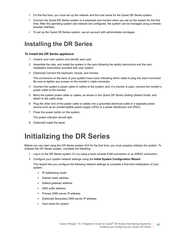- **•** On the first boot, you must set up the network and the host name for the Quest DR Series system.
- **•** Connect the Quest DR Series system to a keyboard and monitor when you set up the system for the first time. After the operating system and network are configured, the system can be managed using a remote browser interface.
- **•** To set up the Quest DR Series system, use an account with administrator privileges.

## <span id="page-11-0"></span>**Installing the DR Series**

#### *To install the DR Series appliance:*

- 1 Unpack your rack system and identify each part.
- 2 Assemble the rails, and install the system in the rack following the safety instructions and the rack installation instructions provided with your system.
- 3 [Optional] Connect the keyboard, mouse, and monitor.

The connectors on the back of your system have icons indicating which cable to plug into each connector. Be sure to tighten any screws on the monitor's cable connector.

- 4 Connect the system's power cable or cables to the system, and, if a monitor is used, connect the monitor's power cable to the monitor.
- 5 Bend the system power cable or cables, as shown in the *Quest DR Series Getting Started Guide*, and attach to the cable strap.
- 6 Plug the other end of the power cable or cables into a grounded electrical outlet or a separate power source such as an uninterruptible power supply (UPS) or a power distribution unit (PDU).
- 7 Press the power button on the system.

The power indicator should light.

8 [Optional] Install the bezel.

# <span id="page-11-1"></span>**Initializing the DR Series**

Before you can start using the DR Series system GUI for the first time, you must properly initialize the system. To initialize the DR Series system, complete the following:

- 1 Log in to the DR Series system CLI by using a local console KVM connection or an iDRAC connection.
- 2 Configure your system network settings using the **Initial System Configuration Wizard**.

This wizard lets you configure the following network settings to complete a first-time initialization of your system:

- **▪** IP addressing mode
- **▪** Subnet mask address
- **Default gateway address**
- **▪** DNS suffix address
- **Primary DNS server IP address**
- [Optional] Secondary DNS server IP address
- **▪** Host name for system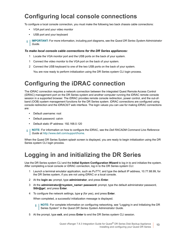## <span id="page-12-0"></span>**Configuring local console connections**

To configure a local console connection, you must make the following two back chassis cable connections:

- **•** VGA port and your video monitor
- **•** USB port and your keyboard
- **IMPORTANT:** For more information, including port diagrams, see the *Quest DR Series System Administrator*  ÷ *Guide*.

#### *To make local console cable connections for the DR Series appliances:*

- 1 Locate the VGA monitor port and the USB ports on the back of your system.
- 1 Connect the video monitor to the VGA port on the back of your system.
- <span id="page-12-1"></span>2 Connect the USB keyboard to one of the two USB ports on the back of your system.

You are now ready to perform initialization using the DR Series system CLI login process.

## **Configuring the iDRAC connection**

The iDRAC connection requires a network connection between the integrated Quest Remote Access Control (iDRAC) management port on the DR Series system and another computer running the iDRAC remote console session in a supported browser. The iDRAC provides remote console redirection, power control, and the out-ofband (OOB) system management functions for the DR Series system. iDRAC connections are configured using console redirection and the iDRAC6/7 web interface. The login values you can use for making iDRAC connections are:

- **•** Default username: root
- **•** Default password: calvin
- **•** Default [static IP address: 192.168.0.120](http://www.dell.com/support/home)
- **NOTE:** For information on how to configure the iDRAC, see the *Dell RACADM Command Line Reference*  f *Guide* at http://www.dell.com/support/home.

<span id="page-12-2"></span>When the Quest DR Series System splash screen is displayed, you are ready to begin initialization using the DR Series system CLI login process.

## **Logging in and initializing the DR Series**

Use the DR Series system CLI and the **Initial System Configuration Wizard** to log in to and initialize the system. After completing a local console or iDRAC connection, log in to the DR Series system CLI:

- 1 Launch a terminal emulator application, such as PuTTY, and type the default IP address, 10.77.88.99, for the DR Series system, if you are not using iDRAC or a local console.
- 2 At the **login as:** prompt, type **administrator**, and press **Enter**.
- 3 At the **administrator@<system\_name> password:** prompt, type the default administrator password, **St0r@ge!**, and press **Enter**.
- 4 To configure the network settings, type **y** (for yes), and press **Enter**.

When completed, a successful initialization message is displayed.

- **NOTE:** For complete information on configuring networking, see "Logging in and Initializing the DR i. Series System" in the *Quest DR Series System Administrator Guide*.
- 5 At the prompt, type **exit**, and press **Enter** to end the DR Series system CLI session.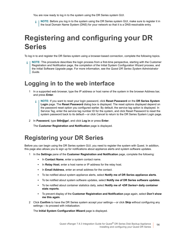You are now ready to log in to the system using the DR Series system GUI.

**i** | NOTE: Before you log in to the system using the DR Series system GUI, make sure to register it in the local Domain Name System (DNS) for your network so that it is a DNS-resolvable entry.

# <span id="page-13-0"></span>**Registering and configuring your DR Series**

To log in to and register the DR Series system using a browser-based connection, complete the following topics.

**NOTE:** This procedure describes the login process from a first-time perspective, starting with the Customer Registration and Notification page, the completion of the Initial System Configuration Wizard process, and the Initial Software Upgrade page. For more information, see the *Quest DR Series System Administrator Guide*.

### <span id="page-13-1"></span>**Logging in to the web interface**

- 1 In a supported web browser, type the IP address or host name of the system in the browser Address bar, and press **Enter**.
	- **NOTE:** If you want to reset your login password, click **Reset Password** on the **DR Series System**  ÷ **Login** page. The **Reset Password** dialog box is displayed. The reset options displayed depend on the password reset option you configured earlier. By default, the service tag option is displayed. In Service Tag, enter the service tag number ID for the system, and click Reset Password to reset the system password back to its default-or click Cancel to return to the DR Series System Login page.
- 2 In **Password**, type **St0r@ge!**, and click **Log in** or press **Enter**.

The **Customer Registration and Notification** page is displayed.

## <span id="page-13-2"></span>**Registering your DR Series**

Before you can begin using the DR Series system GUI, you need to register the system with Quest. In addition, this page also allows you to sign up for notifications about appliance alerts and system software updates.

- 1 In the **Settings** pane of the **Customer Registration and Notification** page, complete the following:
	- **▪** In **Contact Name**, enter a system contact name.
	- In **Relay Host**, enter a host name or IP address for the relay host.
	- In **Email Address**, enter an email address for the contact.
	- **▪** To be notified about system appliance alerts, select **Notify me of DR Series appliance alerts**.
	- **▪** To be notified about system software updates, select **Notify me of DR Series software updates**.
	- **▪** To be notified about container statistics daily, select **Notify me of** *<DR Series>* **daily container stats reports**.
	- **▪** To prevent display of the **Customer Registration and Notification** page again, select **Don't show me this again**.
- 2 Click **Confirm** to have the DR Series system accept your settings or click **Skip** without configuring any settings-to proceed with initialization.

The **Initial System Configuration Wizard** page is displayed.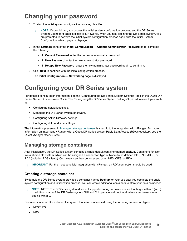## <span id="page-14-0"></span>**Changing your password**

- 1 To start the initial system configuration process, click **Yes**.
	- **NOTE:** If you click No, you bypass the initial system configuration process, and the DR Series f System Dashboard page is displayed. However, when you next log in to the DR Series system, you are prompted to perform the initial system configuration process again with the Initial System Configuration Wizard page is displayed.
- 2 In the **Settings** pane of the **Initial Configuration Change Administrator Password** page, complete the following:
	- In **Current Password**, enter the current administrator password.
	- **▪** In **New Password**, enter the new administrator password.
	- **▪** In **Retype New Password**, enter the new administrator password again to confirm it.
- <span id="page-14-1"></span>3 Click **Next** to continue with the initial configuration process.

The **Initial Configuration — Networking** page is displayed.

## **Configuring your DR Series system**

For detailed configuration information, see the "Configuring the DR Series System Settings" topic in the *Quest DR Series System Administrator Guide*. The "Configuring the DR Series System Settings" topic addresses topics such as:

- **•** Configuring network settings.
- **•** Managing the DR Series system password.
- **•** Configuring Active Directory settings.
- **•** Configuring date and [time settings.](#page-14-2)

<span id="page-14-2"></span>The information presented in Managing storage containers is specific to the integration with vRanger. For more information on integrating vRanger with a Quest DR Series system Rapid Data Access (RDA) repository, see the *Quest vRanger User's Guide*.

### **Managing storage containers**

After initialization, the DR Series system contains a single default container named **backup**. Containers function like a shared file system, which can be assigned a connection type of None (to be defined later), NFS/CIFS, or RDA (includes RDS clients). Containers can then be accessed using NFS, CIFS, or RDA.

**IMPORTANT:** For the most beneficial integration with vRanger, an RDA connection should be used.  $\mathbf i$ 

### **Creating a storage container**

By default, the DR Series system provides a container named **backup** for your use after you complete the basic system configuration and initialization process. You can create additional containers to store your data as needed.

**NOTE:** NOTE: The DR Series system does not support creating container names that begin with a 0 (zero). f In addition, many of the DR Series system GUI and CLI operations do not work when a container name begins with a 0.

Containers function like a shared file system that can be accessed using the following connection types:

- **•** NFS/CIFS
- **•** NFS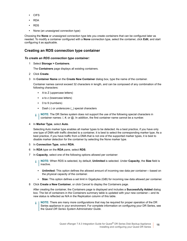- **•** CIFS
- **•** RDA
- **•** RDS
- **•** None (an unassigned connection type)

Choosing the **None** or unassigned connection type lets you create containers that can be configured later as needed. To modify a container configured with a **None** connection type, select the container, click **Edit**, and start configuring it as applicable.

### **Creating an RDS connection type container**

#### *To create an RDS connection type container:*

1 Select **Storage > Containers**.

The **Containers** page displays all existing containers.

- 2 Click **Create**.
- 3 In **Container Name** on the **Create New Container** dialog box, type the name of the container.

Container names cannot exceed 32 characters in length, and can be composed of any combination of the following characters:

- **▪** A to Z (uppercase letters)
- **■** a to z (lowercase letters)
- **▪** 0 to 9 (numbers)
- **▪** Dash (-) or underscore (\_) special characters
- **i** | NOTE: The DR Series system does not support the use of the following special characters in container names: /, #, or @. In addition, the first container name cannot be a number.
- 4 In **Marker Type**, select **Auto**.

Selecting Auto marker type enables all marker types to be detected. As a best practice, if you have only one type of DMA with traffic directed to a container, it is best to select the corresponding marker type. As a best practice, if you have traffic from a DMA that is not one of the supported marker types, it is best to disable marker detection for the container by selecting the None marker type.

- 5 In **Connection Type**, select **RDA**.
- 6 In **RDA** type on the **RDA** pane, select **RDS**.
- 7 In **Capacity**, select one of the following options allowed per container:

**NOTE:** When RDS is selected, by default, **Unlimited** is selected. Under **Capacity**, the **Size** field is i. inactive.

- **Unlimited:** This option defines the allowed amount of incoming raw data per container—based on the physical capacity of the container.
- **Size:** This option defines a set limit in Gigabytes (GiB) for incoming raw data allowed per container.
- 8 Click **Create a New Container**, or click Cancel to display the Containers page.

After creating the container, the Containers page is displayed and includes a **Successfully Added** dialog box. The list of containers in the Containers summary table is updated with your new container — and its new status is reflected as N/A in the Replication column of this table.

**NOTE:** There are many more configurations that may be required for proper operation of the DR ÷ Series appliance in your environment. For complete information on configuring your DR Series, see the *Quest DR Series System Administrator Guide*.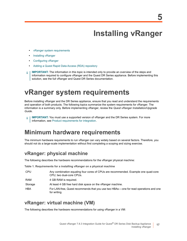# **Installing vRanger**

- <span id="page-16-0"></span>**•** [vRanger system re](#page-18-0)quirements
- **•** [Installing vRanger](#page-19-0)
- **•** [Configuring vRanger](#page-19-1)
- **•** Adding a Quest Rapid Data Access (RDA) repository
- <span id="page-16-2"></span>**IMPORTANT:** The information in this topic is intended only to provide an overview of the steps and ÷ information required to configure vRanger and the Quest DR Series appliance. Before implementing this solution, see the full vRanger and Quest DR Series documentation.

# <span id="page-16-1"></span>**vRanger system requirements**

Before installing vRanger and the DR Series appliance, ensure that you read and understand the requirements and operation of both products. The following topics summarize the system requirements for vRanger. The information is a summary only. Before implementing vRanger, review the *Quest vRanger Installation/Upgrade Guide*.

**IMPORTANT:** You must use a supported version of vRanger and the DR Series system. For more ÷ I information, see Product requirements for integration.

## **Minimum hardware requirements**

The minimum hardware requirements to run vRanger can vary widely based on several factors. Therefore, you should not do a large-scale implementation without first completing a scoping and sizing exercise.

### **vRanger: physical machine**

The following describes the hardware recommendations for the vRanger physical machine:

**Table 1. Requirements for a installing vRanger on a physical machine**

| <b>CPU</b> | Any combination equaling four cores of CPUs are recommended. Example one quad-core<br>CPU; two dual-core CPUs. |
|------------|----------------------------------------------------------------------------------------------------------------|
| RAM        | 4 GB RAM is required.                                                                                          |
| Storage    | At least 4 GB free hard disk space on the vRanger machine.                                                     |
| HBA        | For LAN-free, Quest recommends that you use two HBAs—one for read operations and one<br>for writing.           |

### **vRanger: virtual machine (VM)**

The following describes the hardware recommendations for using vRanger in a VM: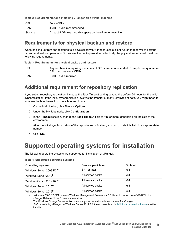**Table 2. Requirements for a installing vRanger on a virtual machine**

| <b>CPU</b> | Four vCPUs.                                                |
|------------|------------------------------------------------------------|
| RAM        | 4 GB RAM is recommended.                                   |
| Storage    | At least 4 GB free hard disk space on the vRanger machine. |

### **Requirements for physical backup and restore**

When backing up from and restoring to a physical server, vRanger uses a client run on that server to perform backup and restore operations. To process the backup workload effectively, the physical server must meet the following requirements:

**Table 3. Requirements for physical backup and restore**

CPU Any combination equaling four cores of CPUs are recommended. Example one quad-core CPU; two dual-core CPUs.

RAM 2 GB RAM is required.

### **Additional requirement for repository replication**

If you set up repository replication, increase the Task Timeout setting beyond the default 24 hours for the initial synchronization. If the initial synchronization involves the transfer of many terabytes of data, you might need to increase the task timeout to over a hundred hours.

- 1 On the Main toolbar, click **Tools > Options**.
- 2 Under the My Jobs node, click **Configuration**.
- 3 In the **Timeout** section, change the **Task Timeout** field to **100** or more, depending on the size of the environment.

After the initial synchronization of the repositories is finished, you can update this field to an appropriate number.

4 Click **OK**.

## **Supported operating systems for installation**

The following operating systems are supported for installation of vRanger.

**Table 4. Supported operating systems**

| <b>Operating system</b>              | Service pack level | <b>Bit level</b> |
|--------------------------------------|--------------------|------------------|
| Windows Server 2008 R2 <sup>ab</sup> | SP1 or later       | x64              |
| Windows Server 2012 <sup>b</sup>     | All service packs  | x64              |
| Windows Server 2012 R2bc             | All service packs  | x64              |
| Windows Server 2016 <sup>b</sup>     | All service packs  | x64              |
| Windows Server 2019 <sup>b</sup>     | All service packs  | x64              |

a. Windows 2008 R2 SP1 requires Windows Management Framework 3.0. Refer to Known Issue VR-177 in the vRanger Release Notes for more information.

b. The Windows Storage Server edition is not supported as an installation platform for vRanger.

Before installing vRanger on Windows Server 2012 R2, the updates listed in Additional required software must be installed.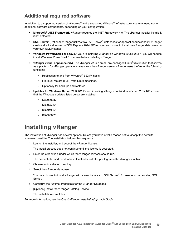### **Additional required software**

In addition to a supported version of Windows<sup>®</sup> and a supported VMware<sup>®</sup> Infrastructure, you may need some additional software components, depending on your configuration.

- **Microsoft® .NET Framework**: vRanger requires the .NET Framework 4.5. The vRanger installer installs it if not detected.
- **SQL Server**: [Optional] vRanger utilizes two SQL Server® databases for application functionality. vRanger can install a local version of SQL Express 2014 SP3 or you can choose to install the vRanger databases on your own SQL instance.
- **Windows PowerShell 3 or above.**If you are installing vRanger on Windows 2008 R2 SP1, you will need to install Windows PowerShell 3 or above before installing vRanger
- **vRanger virtual appliance (VA)**: The vRanger VA is a small, pre-packaged Linux® distribution that serves as a platform for vRanger operations away from the vRanger server. vRanger uses the VA for the following functions:
	- **▪** Replication to and from VMware® ESXi™ hosts.
	- **▪** File-level restore (FLR) from Linux machines.
	- **Optionally for backups and restores.**
- **Updates for Windows Server 2012 R2**: Before installing vRanger on Windows Server 2012 R2, ensure that the Windows updates listed below are installed:
	- **▪** KB2939087
	- **▪** KB2975061
	- **▪** KB2919355
	- **▪** KB2999226

### <span id="page-18-0"></span>**Installing vRanger**

The installation of vRanger has several options. Unless you have a valid reason not to, accept the defaults wherever possible. The installation follows this sequence:

1 Launch the installer, and accept the vRanger license.

The install process does not continue until the license is accepted.

2 Enter the credentials under which the vRanger services should run.

The credentials used need to have local administrator privileges on the vRanger machine.

- 3 Choose an installation directory.
- 4 Select the vRanger database.

You may choose to install vRanger with a new instance of SQL Server<sup>®</sup> Express or on an existing SQL Server.

- 5 Configure the runtime credentials for the vRanger Database.
- 6 [Optional] Install the vRanger Catalog Service.

The installation completes.

For more information, see the *Quest vRanger Installation/Upgrade Guide*.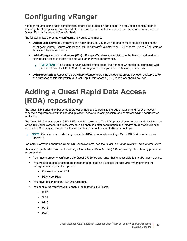# <span id="page-19-0"></span>**Configuring vRanger**

vRanger requires some basic configuration before data protection can begin. The bulk of this configuration is driven by the Startup Wizard which starts the first time the application is opened. For more information, see the *Quest vRanger Installation/Upgrade Guide*.

The following lists the primary configurations you need to make.

- **Add source servers:** Before you can begin backups, you must add one or more source objects to the vRanger inventory. Source objects can include VMware® vCenter™ or ESXi™ hosts, Hyper-V® clusters or hosts, or physical machines.
- **Add vRanger virtual appliances (VAs):** vRanger VAs allow you to distribute the backup workload and gain direct access to target VM's storage for improved performance.
	- **IMPORTANT:** To be able to run in Deduplication Mode, the vRanger VA should be configured with i four vCPUs and 2 GB of RAM. This configuration lets you run four backup jobs per VA.
- **Add repositories:** Repositories are where vRanger stores the savepoints created by each backup job. For the purposes of this integration, a Quest Rapid Data Access (RDA) repository should be used.

# <span id="page-19-1"></span>**Adding a Quest Rapid Data Access (RDA) repository**

The Quest DR Series disk-based data protection appliances optimize storage utilization and reduce network bandwidth requirements with in-line deduplication, server-side compression, and compressed and deduplicated replication.

The Quest DR Series supports CIFS, NFS, and RDA protocols. The RDA protocol provides a logical disk interface for the DR Series system. The RDA protocol also enables better coordination and integration between vRanger and the DR Series system and provides for client-side deduplication of vRanger backups.

**NOTE:** Quest recommends that you use the RDA protocol when using a Quest DR Series system as a repository.

For more information about the Quest DR Series systems, see the *Quest DR Series System Administrator Guide*.

This topic describes the process for adding a Quest Rapid Data Access (RDA) repository. The following procedure assumes that:

- **•** You have a properly configured the Quest DR Series appliance that is accessible to the vRanger machine.
- **•** You created at least one storage container to be used as a Logical Storage Unit. When creating the storage container, use the options:
	- **▪** Connection type: RDA
	- **▪** RDA type: RDS
- **•** You have designated an RDA User account.
- **•** You configured your firewall to enable the following TCP ports.
	- **▪** 9904
	- **▪** 9911
	- **▪** 9915
	- **▪** 9916
	- **▪** 9920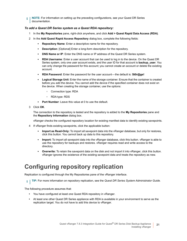**NOTE:** For information on setting up the preceding configurations, see your Quest DR Series i. documentation.

#### *To add a Quest DR Series system as a Quest RDA repository:*

- 1 In the **My Repositories** pane, right-click anywhere, and click **Add > Quest Rapid Data Access (RDA)**.
- 2 In the **Add Quest Rapid Access Repository** dialog box, complete the following fields:
	- **▪ Repository Name**: Enter a descriptive name for the repository.
	- **Description**: [Optional] Enter a long-form description for the repository.
	- **DNS Name or IP:** Enter the DNS name or IP address of the Quest DR Series system.
	- **▪ RDA Username**: Enter a user account that can be used to log in to the device. On the Quest DR Series system, only one user account exists, and the user ID for that account is **backup\_user**. You can only change the password for this account; you cannot create an account or delete the existing account.
	- **RDA Password:** Enter the password for the user account—the default is: **St0r@ge!**
	- **▪ Logical Storage Unit**: Enter the name of the storage container. Ensure that the container is created before you add the device. You cannot add the device if the specified container does not exist on the device. When creating the storage container, use the options:
		- **▫** Connection type: RDA
		- **▫** RDA type: RDS
	- **▪ Port Number**: Leave this value at 0 to use the default.
- 3 Click **OK**.

The connection to the repository is tested and the repository is added to the **My Repositories** pane and the **Repository Information** dialog box.

vRanger checks the configured repository location for existing manifest data to identify existing savepoints.

- 4 If vRanger finds existing savepoints, click the applicable button:
	- **▪ Import as Read-Only:** To import all savepoint data into the vRanger database, but only for restores, click this button. You cannot back up data to this repository.
	- **▪ Import:** To import all savepoint data into the vRanger database, click this button. vRanger is able to use the repository for backups and restores. vRanger requires read and write access to the directory.
	- **Overwrite:** To retain the savepoint data on the disk and not import it into vRanger, click this button. vRanger ignores the existence of the existing savepoint data and treats the repository as new.

## <span id="page-20-0"></span>**Configuring repository replication**

Replication is configured through the My Repositories pane of the vRanger interface.

**TIP:** For more information on repository replication, see the *Quest DR Series System Administrator Guide*. $\mathbf{i}$ 

The following procedure assumes that:

- **•** You have configured at least one Quest RDA repository in vRanger.
- **•** At least one other Quest DR Series appliance with RDA is available in your environment to serve as the replication target. You do not have to add this device to vRanger.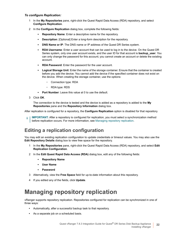### *To configure Replication:*

- 1 In the **My Repositories** pane, right-click the Quest Rapid Data Access (RDA) repository, and select **Configure Replication**.
- 2 In the **Configure Replication** dialog box, complete the following fields:
	- **▪ Repository Name**: Enter a descriptive name for the repository.
	- **Description**: [Optional] Enter a long-form description for the repository.
	- **DNS Name or IP:** The DNS name or IP address of the Quest DR Series system.
	- **▪ RDA Username**: Enter a user account that can be used to log in to the device. On the Quest DR Series system, only one user account exists, and the user ID for that account is **backup user**. You can only change the password for this account; you cannot create an account or delete the existing account.
	- **RDA Password:** Enter the password for the user account.
	- **▪ Logical Storage Unit**: Enter the name of the storage container. Ensure that the container is created before you add the device. You cannot add the device if the specified container does not exist on the device. When creating the storage container, use the options:
		- **▫** Connection type: RDA
		- **▫** RDA type: RDS
	- **▪ Port Number**: Leave this value at 0 to use the default.
- 3 Click **OK** .

The connection to the device is tested and the device is added as a repository is added to the **My Repositories** pane and the **Repository Information** dialog box.

After replication is configured for a repository, the **Configure Replication** [option is disable](#page-21-0)d for that repository.

**IMPORTANT:** After a repository is configured for replication, you must select a synchronization method  $\ddot{\mathbf{r}}$ before replication occurs. For more information, see Managing repository replication.

### **Editing a replication configuration**

You may edit an existing replication configuration to update credentials or timeout values. You may also use the **Edit Repository Details** dialog box to view free space for the repository.

- 1 In the **My Repositories** pane, right-click the Quest Rapid Data Access (RDA) repository, and select **Edit Replication Configuration**.
- 2 In the **Edit Quest Rapid Data Access (RDA)** dialog box, edit any of the following fields:
	- **▪ Repository Name**
	- **▪ User Name**
	- **▪ Password**
- 3 Alternatively, view the **Free Space** field for up-to-date information about this repository.
- <span id="page-21-0"></span>4 If you edited any of the fields, click **Update**.

## **Managing repository replication**

vRanger supports repository replication. Repositories configured for replication can be synchronized in one of three ways:

- **•** Automatically, after a successful backup task to that repository.
- **•** As a separate job on a scheduled basis.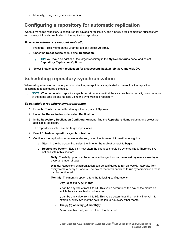**•** Manually, using the Synchronize option.

### **Configuring a repository for automatic replication**

When a managed repository is configured for savepoint replication, and a backup task completes successfully, each savepoint is also replicated to the replication repository.

#### *To enable automatic savepoint replication:*

- 1 From the **Tools** menu on the vRanger toolbar, select **Options**.
- 2 Under the **Repositories** node, select **Replication**.
	- **TIP:** You may also right-click the target repository in the **My Repositories** pane, and select ÷ **Repository Replication Options**.
- 3 Select **Enable savepoint replication for a successful backup job task, and c**lick **Ok**.

### **Scheduling repository synchronization**

When using scheduled repository synchronization, savepoints are replicated to the replication repository according to a configured schedule.

**NOTE:** When scheduling repository synchronization, ensure that the synchronization activity does not occur at the same time as backup jobs using the synchronized repository.

#### *To schedule a repository synchronization:*

- 1 From the **Tools** menu on the vRanger toolbar, select **Options**.
- 2 Under the **Repositories** node, select **Replication**.
- 3 In the **Repository Replication Configuration** pane, find the **Repository Name** column, and select the applicable repository.

The repositories listed are the target repositories.

- 4 Select **Schedule repository synchronization**.
- 5 Configure the replication schedule as desired, using the following information as a guide.
	- a **Start**: In the drop-down list, select the time for the replication task to begin.
	- b **Recurrence Pattern**: Establish how often the changes should be synchronized. There are five options within this section:
		- **▫ Daily**: The daily option can be scheduled to synchronize the repository every weekday or every *x* number of days.
		- **▫ Weekly**: Repository synchronization can be configured to run on weekly intervals, from every week to every 99 weeks. The day of the week on which to run synchronization tasks can be configured.
		- **Monthly:** The monthly option offers the following configurations:
			- **Day** *[x]* **of every** *[y]* **month:**
				- *x* can be any value from 1 to 31. This value determines the day of the month on which the synchronization job occurs.

*y* can be any value from 1 to 99. This value determines the monthly interval — for example, every two months sets the job to run every other month.

**- The** *[f] [d]* **of every** *[y]* **month(s)**:

*f* can be either: first, second, third, fourth or last.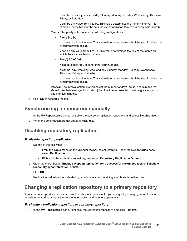*d* can be: weekday, weekend day, Sunday, Monday, Tuesday, Wednesday, Thursday, Friday, or Saturday.

*y* can be any value from 1 to 99. This value determines the monthly interval — for example, every two months sets the synchronization task to run every other month.

- **Yearly:** The yearly option offers the following configurations:
	- **Every** *[m] [x]*:

*m* is any month of the year. This value determines the month of the year in which the synchronization occurs.

*x* can be any value from 1 to 31. This value determines the day of the month on which the synchronization occurs.

**- The** *[f] [d]* **of** *[m]*:

*f* can be either: first, second, third, fourth, or last.

*d* can be: day, weekday, weekend day, Sunday, Monday, Tuesday, Wednesday, Thursday, Friday, or Saturday.

*m* is any month of the year. This value determines the month of the year in which the synchronization occurs.

- **■ Interval**: The interval option lets you select the number of days, hours, and minutes that should pass between synchronization jobs. The interval selected must be greater than or equal to five minutes.
- 6 Click **OK** to schedule the job.

### **Synchronizing a repository manually**

- 1 In the **My Repositories** pane, right-click the source or replication repository, and select **Synchronize**.
- 2 When the confirmation prompt appears, click **Yes**.

### **Disabling repository replication**

#### *To disable repository replication:*

- 1 Do one of the following:
	- **▪** From the **Tools** menu on the vRanger toolbar, select **Options**. Under the **Repositories** node, select **Replication**.
	- **▪** Right-click the replication repository, and select **Repository Replication Options**.
- 2 Clear the check box for **Enable savepoint replication for a successful backup job task** or **Schedule repository synchronization**, or both**.**
- 3 Click **OK**.

Replication is disabled as indicated by a red circle icon containing a white exclamation point.

### **Changing a replication repository to a primary repository**

If your primary repository becomes corrupt or otherwise unavailable, you can quickly change your replication repository to a primary repository to continue backup and recovery operations.

#### *To change a replication repository to a primary repository:*

1 In the **My Repositories** pane, right-click the replication repository, and click **Remove**.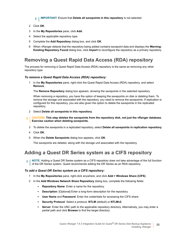**i** | IMPORTANT: Ensure that Delete all savepoints in this repository is not selected.

- 2 Click **OK**.
- 3 In the **My Repositories** pane, click **Add**.
- 4 Select the applicable repository type.
- 5 Complete the **Add Repository** dialog box, and click **OK**.
- 6 When vRanger detects that the repository being added contains savepoint data and displays the **Warning: Existing Repository Found** dialog box, click **Import** to reconfigure the repository as a primary repository.

### **Removing a Quest Rapid Data Access (RDA) repository**

The process for removing a Quest Rapid Data Access (RDA) repository is the same as removing any other repository type.

### *To remove a Quest Rapid Data Access (RDA) repository:*

1 In the **My Repositories** pane, right-click the Quest Rapid Data Access (RDA) repository, and select **Remove**.

The **Remove Repository** dialog box appears, showing the savepoints in the selected repository.

When removing a repository, you have the option of keeping the savepoints on disk or deleting them. To remove the storage unit associated with the repository, you need to remove the savepoints. If replication is configured for this repository, you are also given the option to delete the savepoints in the replicated repository.

- 2 Select **Delete all savepoints in this repository**.
- **CAUTION: This step deletes the savepoints from the repository disk, not just the vRanger database. Exercise caution when deleting savepoints.**
	- 3 To delete the savepoints in a replicated repository, select **Delete all savepoints in replication repository**.
	- 4 Click **OK**.
	- 5 When the **Delete Savepoints** dialog box appears, click **OK**.

The savepoints are deleted, along with the storage unit associated with the repository.

### **Adding a Quest DR Series system as a CIFS repository**

**NOTE:** Adding a Quest DR Series system as a CIFS repository does not take advantage of the full function  $\ddot{\mathbf{r}}$ of the DR Series system. Quest recommends adding the DR Series as an RDA repository.

#### *To add a Quest DR Series system as a CIFS repository:*

- 1 In the **My Repositories** pane, right-click anywhere, and click **Add > Windows Share (CIFS)**.
- 2 In the **Add Windows Network Share Repository** dialog box, complete the following fields:
	- **▪ Repository Name**: Enter a name for the repository.
	- **▪ Description**: [Optional] Enter a long-form description for the repository.
	- **User Name** and **Password**: Enter the credentials for accessing the CIFS share.
	- **▪ Security Protocol**: Select a protocol, **NTLM** (default) or **NTLMv2**.
	- **<b>•** Server: Enter the UNC path to the applicable repository directory. Alternatively, you may enter a partial path and click **Browse** to find the target directory.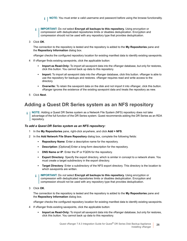- **NOTE:** You must enter a valid username and password before using the browse functionality.  $\mathbf{i}$
- **IMPORTANT:** Do *not* select **Encrypt all backups to this repository.** Using encryption or  $\ddot{\bullet}$ compression with deduplicated repositories limits or disables deduplication. Encryption and compression should not be used with any repository type that provides deduplication.
- 3 Click **OK**.

The connection to the repository is tested and the repository is added to the **My Repositories** pane and the **Repository Information** dialog box.

vRanger checks the configured repository location for existing manifest data to identify existing savepoints.

- 4 If vRanger finds existing savepoints, click the applicable button:
	- **Import as Read-Only:** To import all savepoint data into the vRanger database, but only for restores, click this button. You cannot back up data to this repository.
	- **▪ Import:** To import all savepoint data into the vRanger database, click this button. vRanger is able to use the repository for backups and restores. vRanger requires read and write access to the directory.
	- **▪ Overwrite:** To retain the savepoint data on the disk and not import it into vRanger, click this button. vRanger ignores the existence of the existing savepoint data and treats the repository as new.
- 5 Click **Next**.

### **Adding a Quest DR Series system as an NFS repository**

**NOTE:** Adding a Quest DR Series system as a Network File System (NFS) repository does not take advantage of the full function of the DR Series system. Quest recommends adding the DR Series as an RDA repository.

#### *To add a Quest DR Series system as an NFS repository:*

- 1 In the **My Repositories** pane, right-click anywhere, and click **Add > NFS**.
- 2 In the **Add Network File Share Repository** dialog box, complete the following fields:
	- **▪ Repository Name**: Enter a descriptive name for the repository.
	- **▪ Description**: [Optional] Enter a long-form description for the repository.
	- **DNS Name or IP:** Enter the IP or FQDN for the repository.
	- **▪ Export Directory**: Specify the export directory, which is similar in concept to a network share. You must create a target subdirectory in the export directory.
	- **▪ Target Directory**: Enter a subdirectory of the NFS export directory. This directory is the location to which savepoints are written.
	- $\mathbf{i}$ **IMPORTANT:** Do *not* select **Encrypt all backups to this repository.** Using encryption or compression with deduplicated repositories limits or disables deduplication. Encryption and compression should not be used with any repository type that provides deduplication.
- 3 Click **OK**.

The connection to the repository is tested and the repository is added to the **My Repositories** pane and the **Repository Information** dialog box.

vRanger checks the configured repository location for existing manifest data to identify existing savepoints.

- 4 If vRanger finds existing savepoints, click the applicable button:
	- **▪ Import as Read-Only:** To import all savepoint data into the vRanger database, but only for restores, click this button. You cannot back up data to this repository.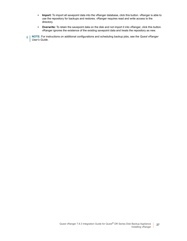- **▪ Import:** To import all savepoint data into the vRanger database, click this button. vRanger is able to use the repository for backups and restores. vRanger requires read and write access to the directory.
- **▪ Overwrite:** To retain the savepoint data on the disk and not import it into vRanger, click this button. vRanger ignores the existence of the existing savepoint data and treats the repository as new.

**NOTE:** For instructions on additional configurations and scheduling backup jobs, see the *Quest vRanger*   $\mathbf i$ *User's Guide*.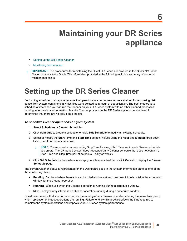# <span id="page-27-0"></span>**Maintaining your DR Series appliance**

- **•** [Setting up the DR Series](#page-28-1) Cleaner
- **•** Monitoring performance
- **IMPORTANT:** The procedures for maintaining the Quest DR Series are covered in the *Quest DR Series*  f *System Administrator Guide*. The information provided in the following topic is a summary of common maintenance tasks.

# <span id="page-27-1"></span>**Setting up the DR Series Cleaner**

Performing scheduled disk space reclamation operations are recommended as a method for recovering disk space from system containers in which files were deleted as a result of deduplication. The best method is to schedule a time when you can run the Cleaner on your DR Series system with no other planned processes running. Alternately, another method lets the Cleaner process on the DR Series system run whenever it determines that there are no active data ingests.

#### *To schedule Cleaner operations on your system:*

- 1 Select **Schedules > Cleaner Schedule**.
- 2 Click **Schedule** to create a schedule, or click **Edit Schedule** to modify an existing schedule.
- 3 Select or modify the **Start Time** and **Stop Time** setpoint values using the **Hour** and **Minutes** drop-down lists to create a Cleaner schedule.
	- **NOTE:** You must set a corresponding Stop Time for every Start Time set in each Cleaner schedule f you create. The DR Series system does not support any Cleaner schedule that does not contain a Start Time and Stop Time pair of setpoints — daily or weekly.
- 4 Click **Set Schedule** for the system to accept your Cleaner schedule, or click **Cancel** to display the **Cleaner Schedule** page.

The current Cleaner Status is represented on the Dashboard page in the System Information pane as one of the three following states:

- **Pending**: Displayed when there is any scheduled window set and the current time is outside the scheduled window for the Cleaner operation.
- **Running**: Displayed when the Cleaner operation is running during a scheduled window.
- **Idle**: Displayed only if there is no Cleaner operation running during a scheduled window.

Quest recommends that you do not schedule the running of any Cleaner operations during the same time period when replication or ingest operations are running. Failure to follow this practice affects the time required to complete the system operations and impacts your DR Series system performance.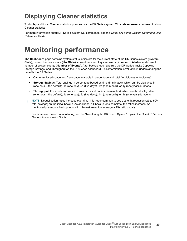## <span id="page-28-0"></span>**Displaying Cleaner statistics**

To display additional Cleaner statistics, you can use the DR Series system CLI **stats --cleaner** command to show Cleaner statistics.

For more information about DR Series system CLI commands, see the *Quest DR Series System Command Line Reference Guide*.

# <span id="page-28-1"></span>**Monitoring performance**

The **Dashboard** page contains system status indicators for the current state of the DR Series system (**System State**), current hardware state (**HW State**), current number of system alerts (**Number of Alerts**), and current number of system events (**Number of Events**). After backup jobs have run, the DR Series tracks Capacity, Storage Savings, and Throughput on the DR Series dashboard. This information is valuable in understanding the benefits the DR Series.

- **Capacity**: Used space and free space available in percentage and total (in gibibytes or tebibytes).
- **Storage Savings**: Total savings in percentage based on time (in minutes), which can be displayed in 1h (one hour — the default), 1d (one day), 5d (five days), 1m (one month), or 1y (one year) durations.
- **Throughput**: For reads and writes in volume based on time (in minutes), which can be displayed in 1h (one hour—the default), 1d (one day), 5d (five days), 1m (one month), or 1y (one year) durations.
- **NOTE:** Deduplication ratios increase over time, it is not uncommon to see a 2 to 4x reduction (25 to 50% ÷ total savings) on the initial backup. As additional full backup jobs complete, the ratios increase. As mentioned previously, backup jobs with 12-week retention average a 15x ratio usually.

For more information on monitoring, see the "Monitoring the DR Series System" topic in the *Quest DR Series System Administrator Guide*.